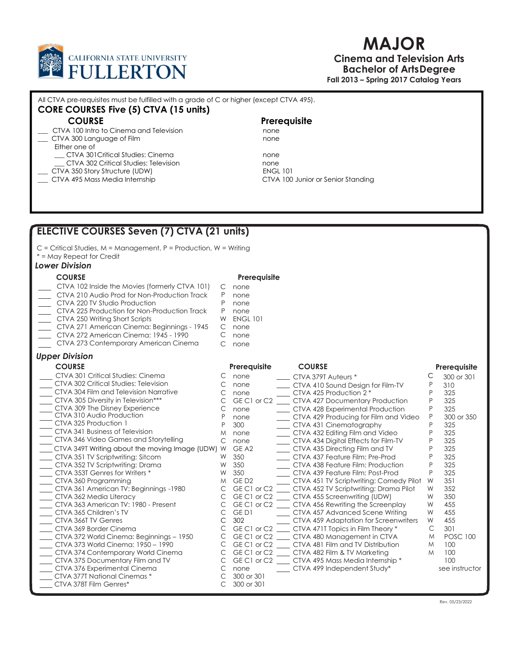

Either one of

CORE COURSES Five (5) CTVA (15 units)

All CTVA pre-requisites must be fulfilled with a grade of C or higher (except CTVA 495).

\_\_\_ CTVA 100 Intro to Cinema and Television none CTVA 300 Language of Film none

\_\_\_ CTVA 301Critical Studies: Cinema none

COURSE Prerequisite

# MAJOR

Cinema and Television Arts Bachelor of Arts Degree Fall 2013 – Spring 2017 Catalog Years

| CTVA 302 Critical Studies: Television<br>CTVA 350 Story Structure (UDW)                          |                                   | none<br><b>ENGL 101</b>                                                                              |        |                     |
|--------------------------------------------------------------------------------------------------|-----------------------------------|------------------------------------------------------------------------------------------------------|--------|---------------------|
| CTVA 495 Mass Media Internship                                                                   |                                   | CTVA 100 Junior or Senior Standing                                                                   |        |                     |
|                                                                                                  |                                   |                                                                                                      |        |                     |
|                                                                                                  |                                   |                                                                                                      |        |                     |
|                                                                                                  |                                   |                                                                                                      |        |                     |
|                                                                                                  |                                   |                                                                                                      |        |                     |
|                                                                                                  |                                   |                                                                                                      |        |                     |
| <b>ELECTIVE COURSES Seven (7) CTVA (21 units)</b>                                                |                                   |                                                                                                      |        |                     |
|                                                                                                  |                                   |                                                                                                      |        |                     |
| $C$ = Critical Studies, M = Management, P = Production, W = Writing<br>* = May Repeat for Credit |                                   |                                                                                                      |        |                     |
| Lower Division                                                                                   |                                   |                                                                                                      |        |                     |
|                                                                                                  |                                   |                                                                                                      |        |                     |
| <b>COURSE</b>                                                                                    | Prerequisite                      |                                                                                                      |        |                     |
| CTVA 102 Inside the Movies (formerly CTVA 101)                                                   | С<br>none                         |                                                                                                      |        |                     |
| CTVA 210 Audio Prod for Non-Production Track                                                     | P<br>none                         |                                                                                                      |        |                     |
| CTVA 220 TV Studio Production                                                                    | P<br>none                         |                                                                                                      |        |                     |
| CTVA 225 Production for Non-Production Track<br>CTVA 250 Writing Short Scripts                   | P<br>none<br>W<br><b>ENGL 101</b> |                                                                                                      |        |                     |
| CTVA 271 American Cinema: Beginnings - 1945                                                      | C<br>none                         |                                                                                                      |        |                     |
| CTVA 272 American Cinema: 1945 - 1990                                                            | C<br>none                         |                                                                                                      |        |                     |
| CTVA 273 Contemporary American Cinema                                                            | C<br>none                         |                                                                                                      |        |                     |
| <b>Upper Division</b>                                                                            |                                   |                                                                                                      |        |                     |
|                                                                                                  |                                   |                                                                                                      |        |                     |
| <b>COURSE</b>                                                                                    | Prerequisite                      | <b>COURSE</b>                                                                                        |        | <b>Prerequisite</b> |
| CTVA 301 Critical Studies: Cinema<br>CTVA 302 Critical Studies: Television                       | C<br>none                         | ___ CTVA 379T Auteurs *                                                                              | С      | 300 or 301          |
| CTVA 304 Film and Television Narrative                                                           | C<br>none<br>C<br>none            | ___ CTVA 410 Sound Design for Film-TV<br>CTVA 425 Production 2*                                      |        | 310<br>325          |
| CTVA 305 Diversity in Television***                                                              | С                                 | GE C1 or C2 ____ CTVA 427 Documentary Production                                                     | P      | 325                 |
| CTVA 309 The Disney Experience                                                                   | C<br>none                         | CTVA 428 Experimental Production                                                                     | P      | 325                 |
| CTVA 310 Audio Production                                                                        | P<br>none                         | CTVA 429 Producing for Film and Video                                                                | P      | 300 or 350          |
| CTVA 325 Production 1                                                                            | P<br>300                          | ___ CTVA 431 Cinematography                                                                          |        | 325                 |
| CTVA 341 Business of Television                                                                  | M<br>none                         | CTVA 432 Editing Film and Video                                                                      | P      | 325                 |
| CTVA 346 Video Games and Storytelling                                                            | C<br>none                         | CTVA 434 Digital Effects for Film-TV                                                                 |        | 325                 |
| CTVA 349T Writing about the moving Image (UDW) W                                                 | GE A <sub>2</sub>                 | ___ CTVA 435 Directing Film and TV                                                                   |        | 325                 |
| CTVA 351 TV Scriptwriting: Sitcom                                                                | 350<br>W                          | CTVA 437 Feature Film: Pre-Prod                                                                      |        | 325                 |
| CTVA 352 TV Scriptwriting: Drama<br>CTVA 353T Genres for Writers *                               | W<br>350<br>W<br>350              | CTVA 438 Feature Film: Production<br>CTVA 439 Feature Film: Post-Prod                                | P      | 325<br>325          |
| CTVA 360 Programming                                                                             | GED <sub>2</sub><br>M             | ___ CTVA 451 TV Scriptwriting: Comedy Pilot                                                          | W      | 351                 |
| CTVA 361 American TV: Beginnings -1980                                                           | С                                 | GE C1 or C2 _____ CTVA 452 TV Scriptwriting: Drama Pilot                                             | W      | 352                 |
| CTVA 362 Media Literacy                                                                          | C                                 | GE C1 or C2 _____ CTVA 455 Screenwriting (UDW)                                                       | W      | 350                 |
| CTVA 363 American TV: 1980 - Present                                                             | C                                 | GE C1 or C2 _____ CTVA 456 Rewriting the Screenplay                                                  | W      | 455                 |
| CTVA 365 Children's TV                                                                           | $\mathsf{C}$<br>GE D1             | ___ CTVA 457 Advanced Scene Writing                                                                  | W      | 455                 |
| CTVA 366T TV Genres                                                                              | $\mathsf{C}$<br>302               | __ CTVA 459 Adaptation for Screenwriters                                                             | W      | 455                 |
| CTVA 369 Border Cinema                                                                           | C                                 | GE C1 or C2 _____ CTVA 471T Topics in Film Theory *                                                  | C      | 301                 |
| CTVA 372 World Cinema: Beginnings - 1950                                                         | C                                 | GE C1 or C2 __ CTVA 480 Management in CTVA                                                           | M      | <b>POSC 100</b>     |
| CTVA 373 World Cinema: 1950 - 1990<br>CTVA 374 Contemporary World Cinema                         | С<br>$\mathsf{C}$                 | GE C1 or C2 _____ CTVA 481 Film and TV Distribution<br>GE C1 or C2 ____ CTVA 482 Film & TV Marketing | M<br>M | 100<br>100          |
| CTVA 375 Documentary Film and TV                                                                 | C                                 | GE C1 or C2 ____ CTVA 495 Mass Media Internship *                                                    |        | 100                 |
| CTVA 376 Experimental Cinema                                                                     | $\mathsf{C}$<br>none              | CTVA 499 Independent Study*                                                                          |        | see instructor      |
| CTVA 377T National Cinemas *                                                                     | 300 or 301<br>C                   |                                                                                                      |        |                     |
| ___ CTVA 378T Film Genres*                                                                       | $\mathsf{C}$<br>300 or 301        |                                                                                                      |        |                     |
|                                                                                                  |                                   |                                                                                                      |        |                     |